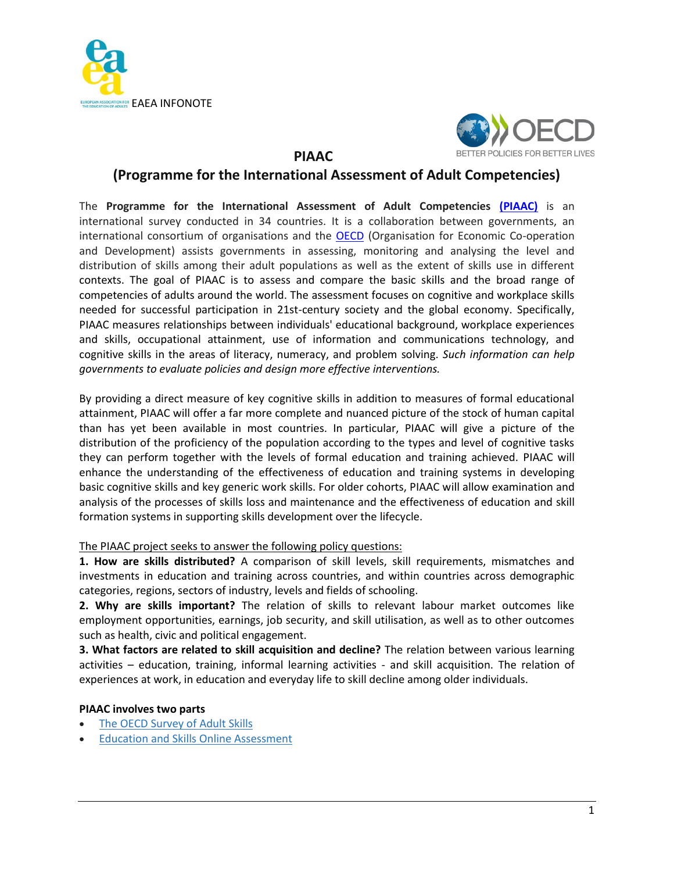



## **PIAAC**

# **(Programme for the International Assessment of Adult Competencies)**

The **Programme for the International Assessment of Adult Competencies [\(PIAAC\)](http://www.oecd.org/site/piaac/)** is an international survey conducted in 34 countries. It is a collaboration between governments, an international consortium of organisations and the **OECD** (Organisation for Economic Co-operation and Development) assists governments in assessing, monitoring and analysing the level and distribution of skills among their adult populations as well as the extent of skills use in different contexts. The goal of PIAAC is to assess and compare the basic skills and the broad range of competencies of adults around the world. The assessment focuses on cognitive and workplace skills needed for successful participation in 21st-century society and the global economy. Specifically, PIAAC measures relationships between individuals' educational background, workplace experiences and skills, occupational attainment, use of information and communications technology, and cognitive skills in the areas of literacy, numeracy, and problem solving. *Such information can help governments to evaluate policies and design more effective interventions.*

By providing a direct measure of key cognitive skills in addition to measures of formal educational attainment, PIAAC will offer a far more complete and nuanced picture of the stock of human capital than has yet been available in most countries. In particular, PIAAC will give a picture of the distribution of the proficiency of the population according to the types and level of cognitive tasks they can perform together with the levels of formal education and training achieved. PIAAC will enhance the understanding of the effectiveness of education and training systems in developing basic cognitive skills and key generic work skills. For older cohorts, PIAAC will allow examination and analysis of the processes of skills loss and maintenance and the effectiveness of education and skill formation systems in supporting skills development over the lifecycle.

## The PIAAC project seeks to answer the following policy questions:

**1. How are skills distributed?** A comparison of skill levels, skill requirements, mismatches and investments in education and training across countries, and within countries across demographic categories, regions, sectors of industry, levels and fields of schooling.

**2. Why are skills important?** The relation of skills to relevant labour market outcomes like employment opportunities, earnings, job security, and skill utilisation, as well as to other outcomes such as health, civic and political engagement.

**3. What factors are related to skill acquisition and decline?** The relation between various learning activities – education, training, informal learning activities - and skill acquisition. The relation of experiences at work, in education and everyday life to skill decline among older individuals.

## **PIAAC involves two parts**

- The OECD [Survey](http://www.oecd.org/site/piaac/theoecdsurveyofadultskills.htm) of Adult Skills
- Education and Skills Online [Assessment](http://www.oecd.org/site/piaac/ENG_Brochure%20Education%20and%20Skills%20Online%20SAS.pdf)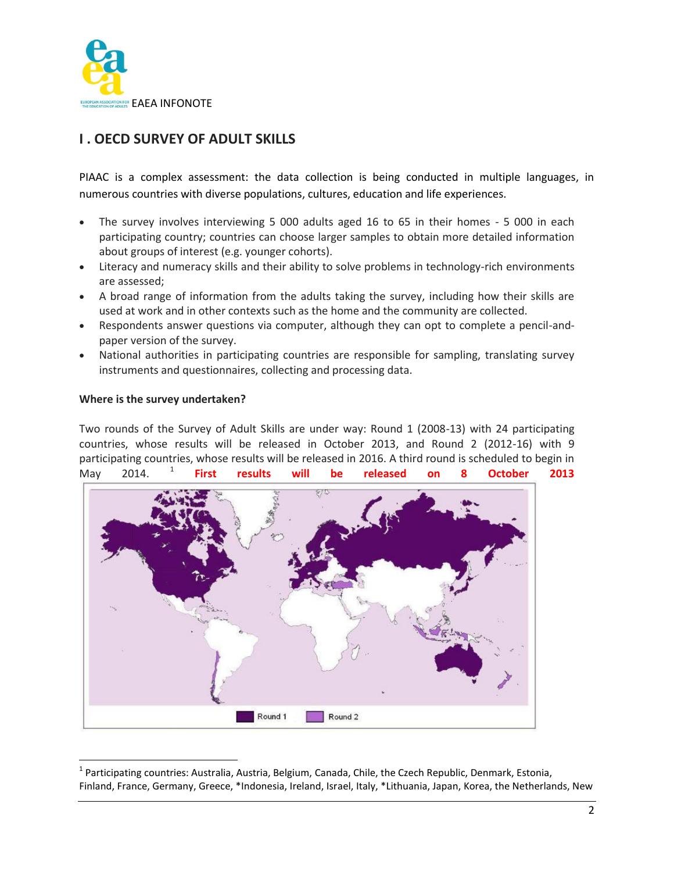

## **I . OECD SURVEY OF ADULT SKILLS**

PIAAC is a complex assessment: the data collection is being conducted in multiple languages, in numerous countries with diverse populations, cultures, education and life experiences.

- The survey involves interviewing 5 000 adults aged 16 to 65 in their homes 5 000 in each participating country; countries can choose larger samples to obtain more detailed information about groups of interest (e.g. younger cohorts).
- Literacy and numeracy skills and their ability to solve problems in technology-rich environments are assessed;
- A broad range of information from the adults taking the survey, including how their skills are used at work and in other contexts such as the home and the community are collected.
- Respondents answer questions via computer, although they can opt to complete a pencil-andpaper version of the survey.
- National authorities in participating countries are responsible for sampling, translating survey instruments and questionnaires, collecting and processing data.

## **Where is the survey undertaken?**

l

Two rounds of the Survey of Adult Skills are under way: Round 1 (2008-13) with 24 participating countries, whose results will be released in October 2013, and Round 2 (2012-16) with 9 participating countries, whose results will be released in 2016. A third round is scheduled to begin in May 2014. 1 **First results will be released on 8 October 2013**



<sup>&</sup>lt;sup>1</sup> Participating countries: Australia, Austria, Belgium, Canada, Chile, the Czech Republic, Denmark, Estonia, Finland, France, Germany, Greece, \*Indonesia, Ireland, Israel, Italy, \*Lithuania, Japan, Korea, the Netherlands, New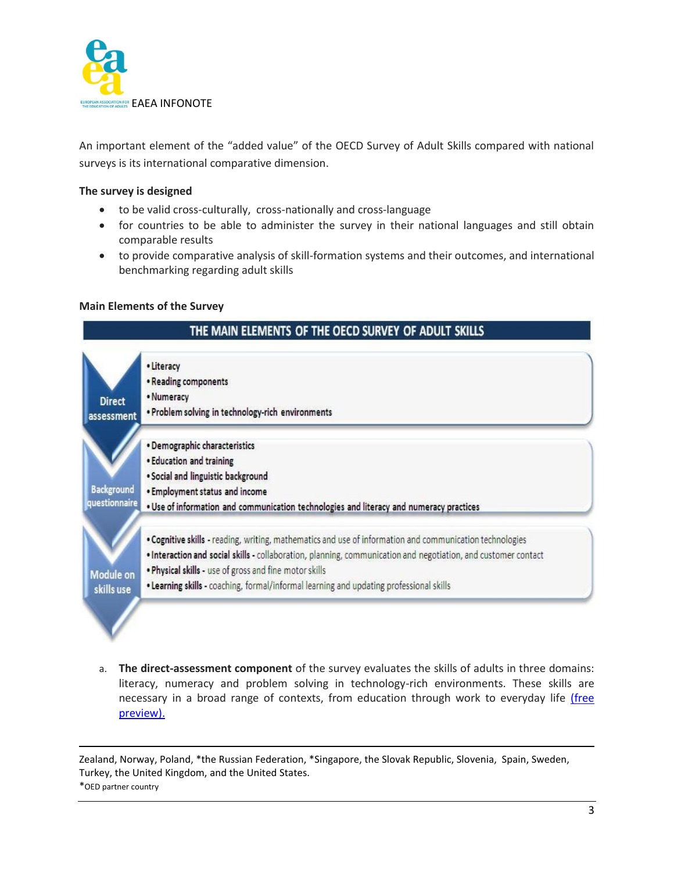

An important element of the "added value" of the OECD Survey of Adult Skills compared with national surveys is its international comparative dimension.

## **The survey is designed**

- to be valid cross-culturally, cross-nationally and cross-language
- for countries to be able to administer the survey in their national languages and still obtain comparable results
- to provide comparative analysis of skill-formation systems and their outcomes, and international benchmarking regarding adult skills

## **Main Elements of the Survey**



a. **The direct-assessment component** of the survey evaluates the skills of adults in three domains: literacy, numeracy and problem solving in technology-rich environments. These skills are necessary in a broad range of contexts, from education through work to everyday life [\(free](http://www.keepeek.com/Digital-Asset-Management/oecd/education/literacy-numeracy-and-problem-solving-in-technology-rich-environments_9789264128859-en)  [preview\).](http://www.keepeek.com/Digital-Asset-Management/oecd/education/literacy-numeracy-and-problem-solving-in-technology-rich-environments_9789264128859-en)

Zealand, Norway, Poland, \*the Russian Federation, \*Singapore, the Slovak Republic, Slovenia, Spain, Sweden, Turkey, the United Kingdom, and the United States.

\*OED partner country

 $\overline{\phantom{a}}$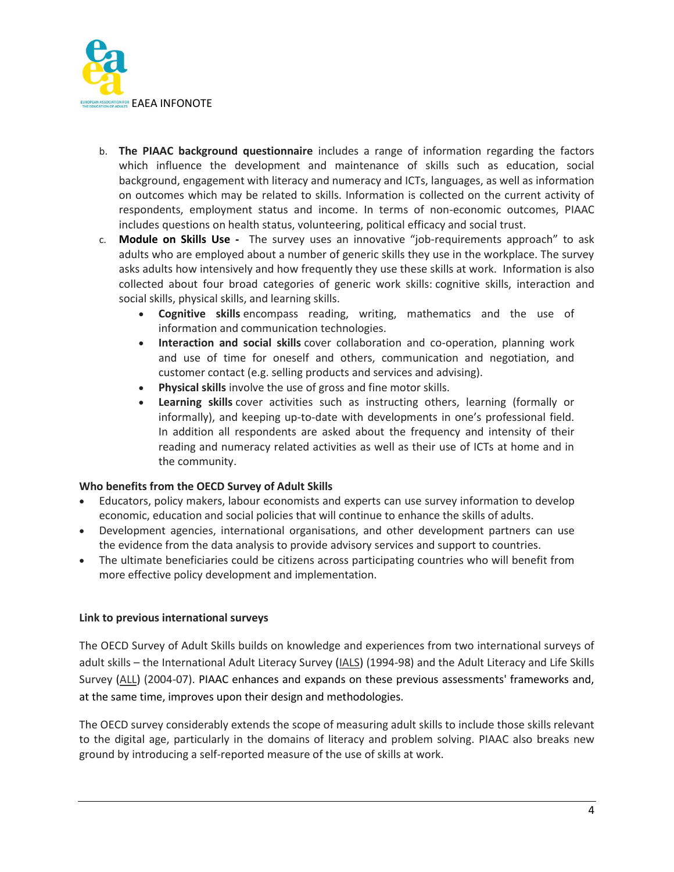

- b. **The PIAAC background questionnaire** includes a range of information regarding the factors which influence the development and maintenance of skills such as education, social background, engagement with literacy and numeracy and ICTs, languages, as well as information on outcomes which may be related to skills. Information is collected on the current activity of respondents, employment status and income. In terms of non-economic outcomes, PIAAC includes questions on health status, volunteering, political efficacy and social trust.
- c. **Module on Skills Use -** The survey uses an innovative "job-requirements approach" to ask adults who are employed about a number of generic skills they use in the workplace. The survey asks adults how intensively and how frequently they use these skills at work. Information is also collected about four broad categories of generic work skills: cognitive skills, interaction and social skills, physical skills, and learning skills.
	- **Cognitive skills** encompass reading, writing, mathematics and the use of information and communication technologies.
	- **Interaction and social skills** cover collaboration and co-operation, planning work and use of time for oneself and others, communication and negotiation, and customer contact (e.g. selling products and services and advising).
	- **Physical skills** involve the use of gross and fine motor skills.
	- **Learning skills** cover activities such as instructing others, learning (formally or informally), and keeping up-to-date with developments in one's professional field. In addition all respondents are asked about the frequency and intensity of their reading and numeracy related activities as well as their use of ICTs at home and in the community.

## **Who benefits from the OECD Survey of Adult Skills**

- Educators, policy makers, labour economists and experts can use survey information to develop economic, education and social policies that will continue to enhance the skills of adults.
- Development agencies, international organisations, and other development partners can use the evidence from the data analysis to provide advisory services and support to countries.
- The ultimate beneficiaries could be citizens across participating countries who will benefit from more effective policy development and implementation.

## **Link to previous international surveys**

The OECD Survey of Adult Skills builds on knowledge and experiences from two international surveys of adult skills – the International Adult Literacy Survey [\(IALS\)](http://nces.ed.gov/surveys/all/faq_ials.asp) (1994-98) and the Adult Literacy and Life Skills Survey [\(ALL\)](http://nces.ed.gov/surveys/all) (2004-07). PIAAC enhances and expands on these previous assessments' frameworks and, at the same time, improves upon their design and methodologies.

The OECD survey considerably extends the scope of measuring adult skills to include those skills relevant to the digital age, particularly in the domains of literacy and problem solving. PIAAC also breaks new ground by introducing a self-reported measure of the use of skills at work.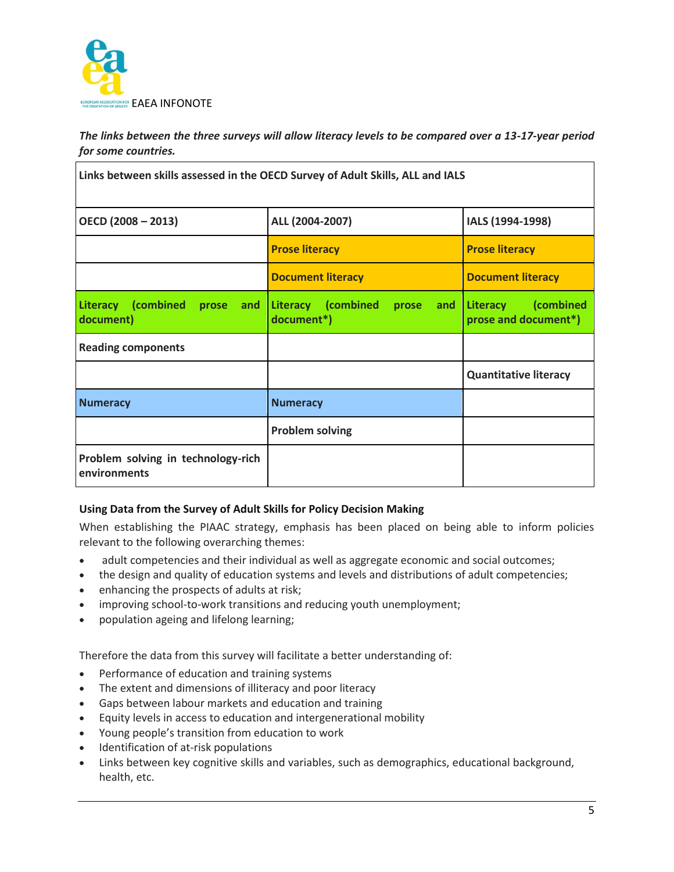

*The links between the three surveys will allow literacy levels to be compared over a 13-17-year period for some countries.*

| Links between skills assessed in the OECD Survey of Adult Skills, ALL and IALS |                                                        |                                                      |
|--------------------------------------------------------------------------------|--------------------------------------------------------|------------------------------------------------------|
| $OECD (2008 - 2013)$                                                           | ALL (2004-2007)                                        | IALS (1994-1998)                                     |
|                                                                                | <b>Prose literacy</b>                                  | <b>Prose literacy</b>                                |
|                                                                                | <b>Document literacy</b>                               | <b>Document literacy</b>                             |
| <b>Literacy</b><br>(combined<br>and<br>prose<br>document)                      | <b>Literacy</b><br>combined<br>prose and<br>document*) | <b>Literacy</b><br>(combined<br>prose and document*) |
| <b>Reading components</b>                                                      |                                                        |                                                      |
|                                                                                |                                                        | <b>Quantitative literacy</b>                         |
| <b>Numeracy</b>                                                                | <b>Numeracy</b>                                        |                                                      |
|                                                                                | <b>Problem solving</b>                                 |                                                      |
| Problem solving in technology-rich<br>environments                             |                                                        |                                                      |

## **Using Data from the Survey of Adult Skills for Policy Decision Making**

When establishing the PIAAC strategy, emphasis has been placed on being able to inform policies relevant to the following overarching themes:

- adult competencies and their individual as well as aggregate economic and social outcomes;
- the design and quality of education systems and levels and distributions of adult competencies;
- enhancing the prospects of adults at risk;
- improving school-to-work transitions and reducing youth unemployment;
- population ageing and lifelong learning;

Therefore the data from this survey will facilitate a better understanding of:

- Performance of education and training systems
- The extent and dimensions of illiteracy and poor literacy
- Gaps between labour markets and education and training
- Equity levels in access to education and intergenerational mobility
- Young people's transition from education to work
- Identification of at-risk populations
- Links between key cognitive skills and variables, such as demographics, educational background, health, etc.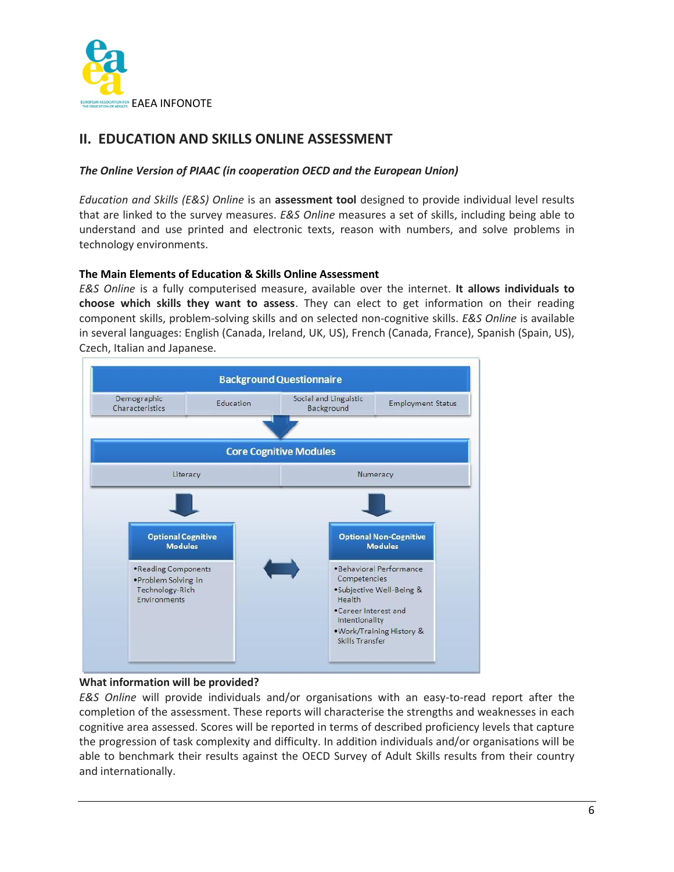

## **II. EDUCATION AND SKILLS ONLINE ASSESSMENT**

## *The Online Version of PIAAC (in cooperation OECD and the European Union)*

*Education and Skills (E&S) Online* is an **assessment tool** designed to provide individual level results that are linked to the survey measures. *E&S Online* measures a set of skills, including being able to understand and use printed and electronic texts, reason with numbers, and solve problems in technology environments.

## **The Main Elements of Education & Skills Online Assessment**

*E&S Online* is a fully computerised measure, available over the internet. **It allows individuals to choose which skills they want to assess**. They can elect to get information on their reading component skills, problem-solving skills and on selected non-cognitive skills. *E&S Online* is available in several languages: English (Canada, Ireland, UK, US), French (Canada, France), Spanish (Spain, US), Czech, Italian and Japanese.



## **What information will be provided?**

*E&S Online* will provide individuals and/or organisations with an easy-to-read report after the completion of the assessment. These reports will characterise the strengths and weaknesses in each cognitive area assessed. Scores will be reported in terms of described proficiency levels that capture the progression of task complexity and difficulty. In addition individuals and/or organisations will be able to benchmark their results against the OECD Survey of Adult Skills results from their country and internationally.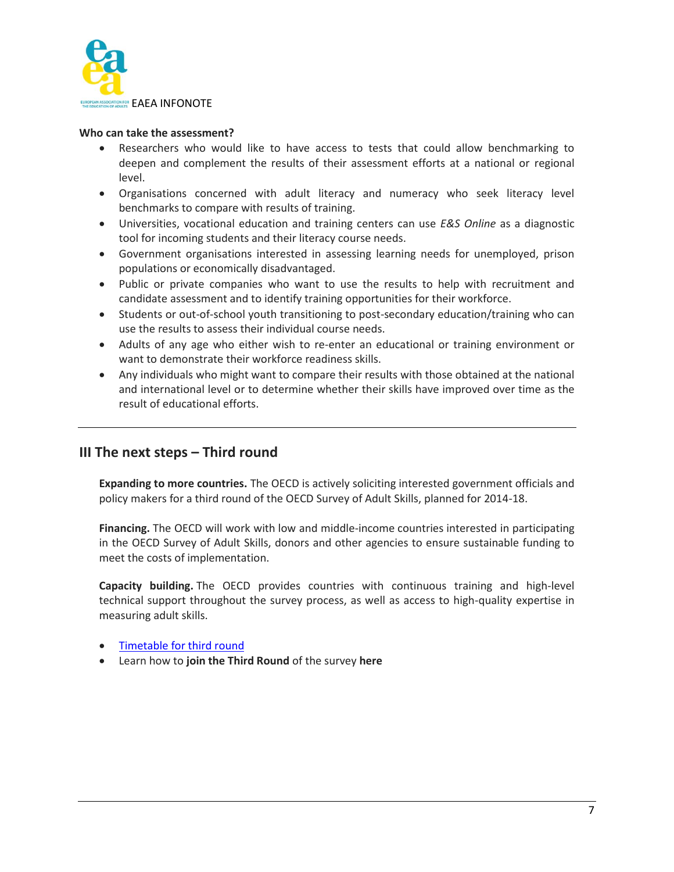

#### **Who can take the assessment?**

- Researchers who would like to have access to tests that could allow benchmarking to deepen and complement the results of their assessment efforts at a national or regional level.
- Organisations concerned with adult literacy and numeracy who seek literacy level benchmarks to compare with results of training.
- Universities, vocational education and training centers can use *E&S Online* as a diagnostic tool for incoming students and their literacy course needs.
- Government organisations interested in assessing learning needs for unemployed, prison populations or economically disadvantaged.
- Public or private companies who want to use the results to help with recruitment and candidate assessment and to identify training opportunities for their workforce.
- Students or out-of-school youth transitioning to post-secondary education/training who can use the results to assess their individual course needs.
- Adults of any age who either wish to re-enter an educational or training environment or want to demonstrate their workforce readiness skills.
- Any individuals who might want to compare their results with those obtained at the national and international level or to determine whether their skills have improved over time as the result of educational efforts.

## **III The next steps – Third round**

**Expanding to more countries.** The OECD is actively soliciting interested government officials and policy makers for a third round of the OECD Survey of Adult Skills, planned for 2014-18.

**Financing.** The OECD will work with low and middle-income countries interested in participating in the OECD Survey of Adult Skills, donors and other agencies to ensure sustainable funding to meet the costs of implementation.

**Capacity building.** The OECD provides countries with continuous training and high-level technical support throughout the survey process, as well as access to high-quality expertise in measuring adult skills.

## [Timetable for third round](http://www.oecd.org/site/piaac/Round%20III%20Timeline.pdf)

Learn how to **join the Third Round** of the survey **[here](http://www.oecd.org/site/piaac/joinpiaacin2014.htm)**